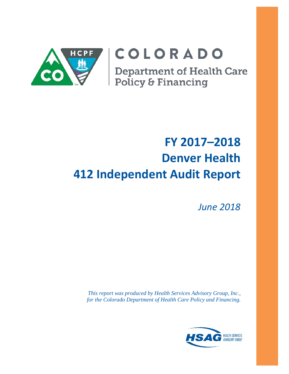

# COLORADO

**Department of Health Care<br>Policy & Financing** 

# **FY 2017–2018 Denver Health 412 Independent Audit Report**

*June 2018*

*This report was produced by Health Services Advisory Group, Inc., for the Colorado Department of Health Care Policy and Financing.*

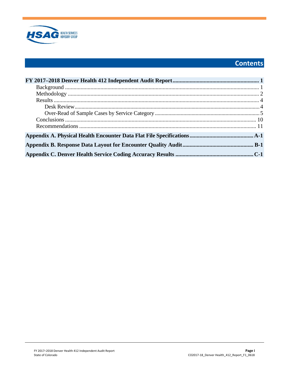

# Contents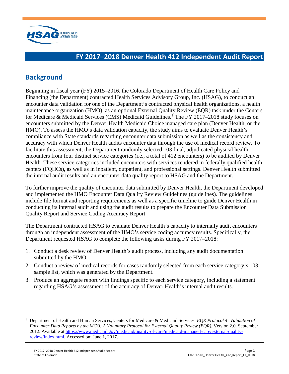

# <span id="page-2-0"></span>**FY 2017–2018 Denver Health 412 Independent Audit Report**

# <span id="page-2-1"></span>**Background**

Beginning in fiscal year (FY) 2015–2016, the Colorado Department of Health Care Policy and Financing (the Department) contracted Health Services Advisory Group, Inc. (HSAG), to conduct an encounter data validation for one of the Department's contracted physical health organizations, a health maintenance organization (HMO), as an optional External Quality Review (EQR) task under the Centers for Medicare & Medicaid Services (CMS) Medicaid Guidelines.<sup>[1](#page-2-2)</sup> The FY 2017–2018 study focuses on encounters submitted by the Denver Health Medicaid Choice managed care plan (Denver Health, or the HMO). To assess the HMO's data validation capacity, the study aims to evaluate Denver Health's compliance with State standards regarding encounter data submission as well as the consistency and accuracy with which Denver Health audits encounter data through the use of medical record review. To facilitate this assessment, the Department randomly selected 103 final, adjudicated physical health encounters from four distinct service categories (i.e., a total of 412 encounters) to be audited by Denver Health. These service categories included encounters with services rendered in federally qualified health centers (FQHCs), as well as in inpatient, outpatient, and professional settings. Denver Health submitted the internal audit results and an encounter data quality report to HSAG and the Department.

To further improve the quality of encounter data submitted by Denver Health, the Department developed and implemented the HMO Encounter Data Quality Review Guidelines (guidelines). The guidelines include file format and reporting requirements as well as a specific timeline to guide Denver Health in conducting its internal audit and using the audit results to prepare the Encounter Data Submission Quality Report and Service Coding Accuracy Report.

The Department contracted HSAG to evaluate Denver Health's capacity to internally audit encounters through an independent assessment of the HMO's service coding accuracy results. Specifically, the Department requested HSAG to complete the following tasks during FY 2017–2018:

- 1. Conduct a desk review of Denver Health's audit process, including any audit documentation submitted by the HMO.
- 2. Conduct a review of medical records for cases randomly selected from each service category's 103 sample list, which was generated by the Department.
- 3. Produce an aggregate report with findings specific to each service category, including a statement regarding HSAG's assessment of the accuracy of Denver Health's internal audit results.

<span id="page-2-2"></span> <sup>1</sup> Department of Health and Human Services, Centers for Medicare & Medicaid Services. *EQR Protocol 4: Validation of Encounter Data Reports by the MCO: A Voluntary Protocol for External Quality Review (EQR)*. Version 2.0. September 2012. Available at [https://www.medicaid.gov/medicaid/quality-of-care/medicaid-managed-care/external-quality](https://www.medicaid.gov/medicaid/quality-of-care/medicaid-managed-care/external-quality-review/index.html)[review/index.html.](https://www.medicaid.gov/medicaid/quality-of-care/medicaid-managed-care/external-quality-review/index.html) Accessed on: June 1, 2017.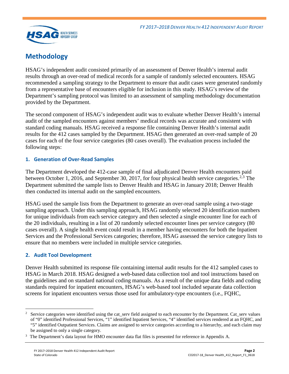

# <span id="page-3-0"></span>**Methodology**

HSAG's independent audit consisted primarily of an assessment of Denver Health's internal audit results through an over-read of medical records for a sample of randomly selected encounters. HSAG recommended a sampling strategy to the Department to ensure that audit cases were generated randomly from a representative base of encounters eligible for inclusion in this study. HSAG's review of the Department's sampling protocol was limited to an assessment of sampling methodology documentation provided by the Department.

The second component of HSAG's independent audit was to evaluate whether Denver Health's internal audit of the sampled encounters against members' medical records was accurate and consistent with standard coding manuals. HSAG received a response file containing Denver Health's internal audit results for the 412 cases sampled by the Department. HSAG then generated an over-read sample of 20 cases for each of the four service categories (80 cases overall). The evaluation process included the following steps:

## **1. Generation of Over-Read Samples**

The Department developed the 412-case sample of final adjudicated Denver Health encounters paid between October 1, 2016, and September 30, 2017, for four physical health service categories.<sup>[2,](#page-3-1)[3](#page-3-2)</sup> The Department submitted the sample lists to Denver Health and HSAG in January 2018; Denver Health then conducted its internal audit on the sampled encounters.

HSAG used the sample lists from the Department to generate an over-read sample using a two-stage sampling approach. Under this sampling approach, HSAG randomly selected 20 identification numbers for unique individuals from each service category and then selected a single encounter line for each of the 20 individuals, resulting in a list of 20 randomly selected encounter lines per service category (80 cases overall). A single health event could result in a member having encounters for both the Inpatient Services and the Professional Services categories; therefore, HSAG assessed the service category lists to ensure that no members were included in multiple service categories.

#### **2. Audit Tool Development**

 $\overline{a}$ 

Denver Health submitted its response file containing internal audit results for the 412 sampled cases to HSAG in March 2018. HSAG designed a web-based data collection tool and tool instructions based on the guidelines and on standard national coding manuals. As a result of the unique data fields and coding standards required for inpatient encounters, HSAG's web-based tool included separate data collection screens for inpatient encounters versus those used for ambulatory-type encounters (i.e., FQHC,

<span id="page-3-1"></span><sup>2</sup> Service categories were identified using the cat serv field assigned to each encounter by the Department. Cat serv values of "0" identified Professional Services, "1" identified Inpatient Services, "4" identified services rendered at an FQHC, and "5" identified Outpatient Services. Claims are assigned to service categories according to a hierarchy, and each claim may be assigned to only a single category.

<span id="page-3-2"></span><sup>&</sup>lt;sup>3</sup> The Department's data layout for HMO encounter data flat files is presented for reference in Appendix A.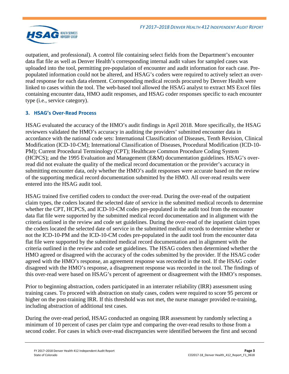

outpatient, and professional). A control file containing select fields from the Department's encounter data flat file as well as Denver Health's corresponding internal audit values for sampled cases was uploaded into the tool, permitting pre-population of encounter and audit information for each case. Prepopulated information could not be altered, and HSAG's coders were required to actively select an overread response for each data element. Corresponding medical records procured by Denver Health were linked to cases within the tool. The web-based tool allowed the HSAG analyst to extract MS Excel files containing encounter data, HMO audit responses, and HSAG coder responses specific to each encounter type (i.e., service category).

## **3. HSAG's Over-Read Process**

HSAG evaluated the accuracy of the HMO's audit findings in April 2018. More specifically, the HSAG reviewers validated the HMO's accuracy in auditing the providers' submitted encounter data in accordance with the national code sets: International Classification of Diseases, Tenth Revision, Clinical Modification (ICD-10-CM); International Classification of Diseases, Procedural Modification (ICD-10- PM); Current Procedural Terminology (CPT); Healthcare Common Procedure Coding System (HCPCS); and the 1995 Evaluation and Management (E&M) documentation guidelines. HSAG's overread did not evaluate the quality of the medical record documentation or the provider's accuracy in submitting encounter data, only whether the HMO's audit responses were accurate based on the review of the supporting medical record documentation submitted by the HMO. All over-read results were entered into the HSAG audit tool.

HSAG trained five certified coders to conduct the over-read. During the over-read of the outpatient claim types, the coders located the selected date of service in the submitted medical records to determine whether the CPT, HCPCS, and ICD-10-CM codes pre-populated in the audit tool from the encounter data flat file were supported by the submitted medical record documentation and in alignment with the criteria outlined in the review and code set guidelines. During the over-read of the inpatient claim types the coders located the selected date of service in the submitted medical records to determine whether or not the ICD-10-PM and the ICD-10-CM codes pre-populated in the audit tool from the encounter data flat file were supported by the submitted medical record documentation and in alignment with the criteria outlined in the review and code set guidelines. The HSAG coders then determined whether the HMO agreed or disagreed with the accuracy of the codes submitted by the provider. If the HSAG coder agreed with the HMO's response, an agreement response was recorded in the tool. If the HSAG coder disagreed with the HMO's response, a disagreement response was recorded in the tool. The findings of this over-read were based on HSAG's percent of agreement or disagreement with the HMO's responses.

Prior to beginning abstraction, coders participated in an interrater reliability (IRR) assessment using training cases. To proceed with abstraction on study cases, coders were required to score 95 percent or higher on the post-training IRR. If this threshold was not met, the nurse manager provided re-training, including abstraction of additional test cases.

During the over-read period, HSAG conducted an ongoing IRR assessment by randomly selecting a minimum of 10 percent of cases per claim type and comparing the over-read results to those from a second coder. For cases in which over-read discrepancies were identified between the first and second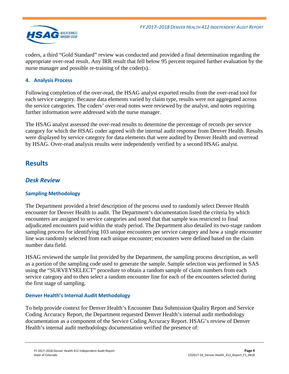

coders, a third "Gold Standard" review was conducted and provided a final determination regarding the appropriate over-read result. Any IRR result that fell below 95 percent required further evaluation by the nurse manager and possible re-training of the coder(s).

## **4. Analysis Process**

Following completion of the over-read, the HSAG analyst exported results from the over-read tool for each service category. Because data elements varied by claim type, results were not aggregated across the service categories. The coders' over-read notes were reviewed by the analyst, and notes requiring further information were addressed with the nurse manager.

The HSAG analyst assessed the over-read results to determine the percentage of records per service category for which the HSAG coder agreed with the internal audit response from Denver Health. Results were displayed by service category for data elements that were audited by Denver Health and overread by HSAG. Over-read analysis results were independently verified by a second HSAG analyst.

## <span id="page-5-0"></span>**Results**

## <span id="page-5-1"></span>*Desk Review*

## **Sampling Methodology**

The Department provided a brief description of the process used to randomly select Denver Health encounter for Denver Health to audit. The Department's documentation listed the criteria by which encounters are assigned to service categories and noted that that sample was restricted to final adjudicated encounters paid within the study period. The Department also detailed its two-stage random sampling process for identifying 103 unique encounters per service category and how a single encounter line was randomly selected from each unique encounter; encounters were defined based on the claim number data field.

HSAG reviewed the sample list provided by the Department, the sampling process description, as well as a portion of the sampling code used to generate the sample. Sample selection was performed in SAS using the "SURVEYSELECT" procedure to obtain a random sample of claim numbers from each service category and to then select a random encounter line for each of the encounters selected during the first stage of sampling.

#### **Denver Health's Internal Audit Methodology**

To help provide context for Denver Health's Encounter Data Submission Quality Report and Service Coding Accuracy Report, the Department requested Denver Health's internal audit methodology documentation as a component of the Service Coding Accuracy Report. HSAG's review of Denver Health's internal audit methodology documentation verified the presence of: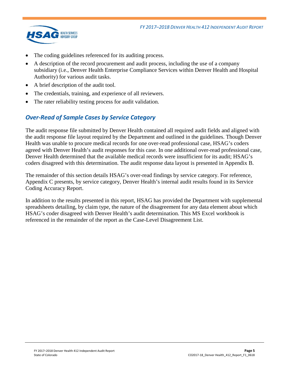

- The coding guidelines referenced for its auditing process.
- A description of the record procurement and audit process, including the use of a company subsidiary (i.e., Denver Health Enterprise Compliance Services within Denver Health and Hospital Authority) for various audit tasks.
- A brief description of the audit tool.
- The credentials, training, and experience of all reviewers.
- <span id="page-6-0"></span>The rater reliability testing process for audit validation.

## *Over-Read of Sample Cases by Service Category*

The audit response file submitted by Denver Health contained all required audit fields and aligned with the audit response file layout required by the Department and outlined in the guidelines. Though Denver Health was unable to procure medical records for one over-read professional case, HSAG's coders agreed with Denver Health's audit responses for this case. In one additional over-read professional case, Denver Health determined that the available medical records were insufficient for its audit; HSAG's coders disagreed with this determination. The audit response data layout is presented in Appendix B.

The remainder of this section details HSAG's over-read findings by service category. For reference, Appendix C presents, by service category, Denver Health's internal audit results found in its Service Coding Accuracy Report.

In addition to the results presented in this report, HSAG has provided the Department with supplemental spreadsheets detailing, by claim type, the nature of the disagreement for any data element about which HSAG's coder disagreed with Denver Health's audit determination. This MS Excel workbook is referenced in the remainder of the report as the Case-Level Disagreement List.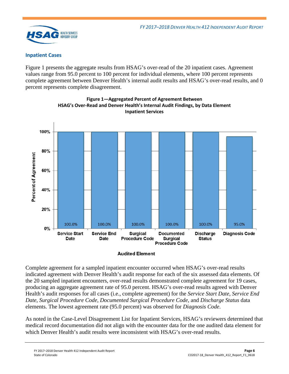

#### **Inpatient Cases**

[Figure 1](#page-7-0) presents the aggregate results from HSAG's over-read of the 20 inpatient cases. Agreement values range from 95.0 percent to 100 percent for individual elements, where 100 percent represents complete agreement between Denver Health's internal audit results and HSAG's over-read results, and 0 percent represents complete disagreement.

<span id="page-7-0"></span>

**Figure 1—Aggregated Percent of Agreement Between HSAG's Over-Read and Denver Health's Internal Audit Findings, by Data Element Inpatient Services**

#### **Audited Element**

Complete agreement for a sampled inpatient encounter occurred when HSAG's over-read results indicated agreement with Denver Health's audit response for each of the six assessed data elements. Of the 20 sampled inpatient encounters, over-read results demonstrated complete agreement for 19 cases, producing an aggregate agreement rate of 95.0 percent. HSAG's over-read results agreed with Denver Health's audit responses for all cases (i.e., complete agreement) for the *Service Start Date*, *Service End Date*, *Surgical Procedure Code*, *Documented Surgical Procedure Code*, and *Discharge Status* data elements. The lowest agreement rate (95.0 percent) was observed for *Diagnosis Code*.

As noted in the Case-Level Disagreement List for Inpatient Services, HSAG's reviewers determined that medical record documentation did not align with the encounter data for the one audited data element for which Denver Health's audit results were inconsistent with HSAG's over-read results.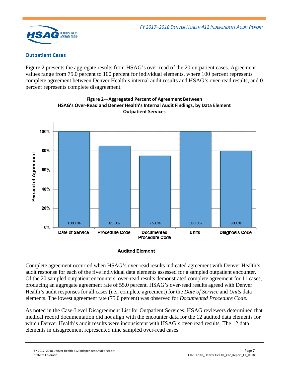

## **Outpatient Cases**

[Figure 2](#page-8-0) presents the aggregate results from HSAG's over-read of the 20 outpatient cases. Agreement values range from 75.0 percent to 100 percent for individual elements, where 100 percent represents complete agreement between Denver Health's internal audit results and HSAG's over-read results, and 0 percent represents complete disagreement.

<span id="page-8-0"></span>



#### **Audited Element**

Complete agreement occurred when HSAG's over-read results indicated agreement with Denver Health's audit response for each of the five individual data elements assessed for a sampled outpatient encounter. Of the 20 sampled outpatient encounters, over-read results demonstrated complete agreement for 11 cases, producing an aggregate agreement rate of 55.0 percent. HSAG's over-read results agreed with Denver Health's audit responses for all cases (i.e., complete agreement) for the *Date of Service* and *Units* data elements. The lowest agreement rate (75.0 percent) was observed for *Documented Procedure Code*.

As noted in the Case-Level Disagreement List for Outpatient Services, HSAG reviewers determined that medical record documentation did not align with the encounter data for the 12 audited data elements for which Denver Health's audit results were inconsistent with HSAG's over-read results. The 12 data elements in disagreement represented nine sampled over-read cases.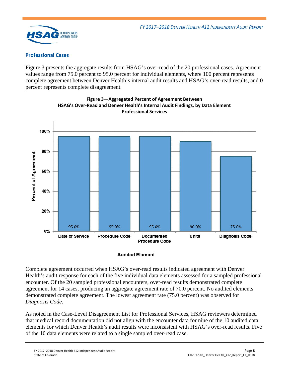

## **Professional Cases**

[Figure 3](#page-9-0) presents the aggregate results from HSAG's over-read of the 20 professional cases. Agreement values range from 75.0 percent to 95.0 percent for individual elements, where 100 percent represents complete agreement between Denver Health's internal audit results and HSAG's over-read results, and 0 percent represents complete disagreement.

<span id="page-9-0"></span>



#### **Audited Element**

Complete agreement occurred when HSAG's over-read results indicated agreement with Denver Health's audit response for each of the five individual data elements assessed for a sampled professional encounter. Of the 20 sampled professional encounters, over-read results demonstrated complete agreement for 14 cases, producing an aggregate agreement rate of 70.0 percent. No audited elements demonstrated complete agreement. The lowest agreement rate (75.0 percent) was observed for *Diagnosis Code*.

As noted in the Case-Level Disagreement List for Professional Services, HSAG reviewers determined that medical record documentation did not align with the encounter data for nine of the 10 audited data elements for which Denver Health's audit results were inconsistent with HSAG's over-read results. Five of the 10 data elements were related to a single sampled over-read case.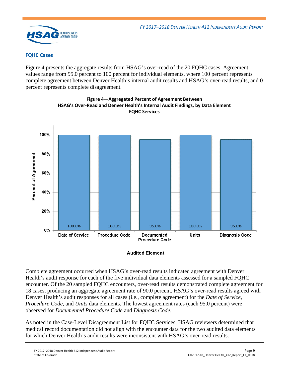

### **FQHC Cases**

[Figure 4](#page-10-0) presents the aggregate results from HSAG's over-read of the 20 FQHC cases. Agreement values range from 95.0 percent to 100 percent for individual elements, where 100 percent represents complete agreement between Denver Health's internal audit results and HSAG's over-read results, and 0 percent represents complete disagreement.

<span id="page-10-0"></span>



#### **Audited Element**

Complete agreement occurred when HSAG's over-read results indicated agreement with Denver Health's audit response for each of the five individual data elements assessed for a sampled FQHC encounter. Of the 20 sampled FQHC encounters, over-read results demonstrated complete agreement for 18 cases, producing an aggregate agreement rate of 90.0 percent. HSAG's over-read results agreed with Denver Health's audit responses for all cases (i.e., complete agreement) for the *Date of Service*, *Procedure Code*, and *Units* data elements. The lowest agreement rates (each 95.0 percent) were observed for *Documented Procedure Code* and *Diagnosis Code*.

As noted in the Case-Level Disagreement List for FQHC Services, HSAG reviewers determined that medical record documentation did not align with the encounter data for the two audited data elements for which Denver Health's audit results were inconsistent with HSAG's over-read results.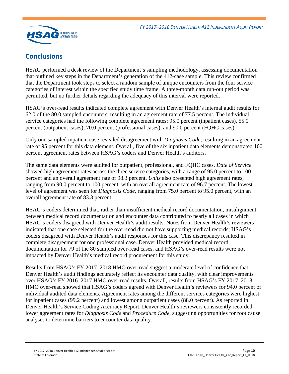

# <span id="page-11-0"></span>**Conclusions**

HSAG performed a desk review of the Department's sampling methodology, assessing documentation that outlined key steps in the Department's generation of the 412-case sample. This review confirmed that the Department took steps to select a random sample of unique encounters from the four service categories of interest within the specified study time frame. A three-month data run-out period was permitted, but no further details regarding the adequacy of this interval were reported.

HSAG's over-read results indicated complete agreement with Denver Health's internal audit results for 62.0 of the 80.0 sampled encounters, resulting in an agreement rate of 77.5 percent. The individual service categories had the following complete agreement rates: 95.0 percent (inpatient cases), 55.0 percent (outpatient cases), 70.0 percent (professional cases), and 90.0 percent (FQHC cases).

Only one sampled inpatient case revealed disagreement with *Diagnosis Code*, resulting in an agreement rate of 95 percent for this data element. Overall, five of the six inpatient data elements demonstrated 100 percent agreement rates between HSAG's coders and Denver Health's auditors.

The same data elements were audited for outpatient, professional, and FQHC cases. *Date of Service* showed high agreement rates across the three service categories, with a range of 95.0 percent to 100 percent and an overall agreement rate of 98.3 percent. *Units* also presented high agreement rates, ranging from 90.0 percent to 100 percent, with an overall agreement rate of 96.7 percent. The lowest level of agreement was seen for *Diagnosis Code,* ranging from 75.0 percent to 95.0 percent, with an overall agreement rate of 83.3 percent.

HSAG's coders determined that, rather than insufficient medical record documentation, misalignment between medical record documentation and encounter data contributed to nearly all cases in which HSAG's coders disagreed with Denver Health's audit results. Notes from Denver Health's reviewers indicated that one case selected for the over-read did not have supporting medical records; HSAG's coders disagreed with Denver Health's audit responses for this case. This discrepancy resulted in complete disagreement for one professional case. Denver Health provided medical record documentation for 79 of the 80 sampled over-read cases, and HSAG's over-read results were not impacted by Denver Health's medical record procurement for this study.

Results from HSAG's FY 2017–2018 HMO over-read suggest a moderate level of confidence that Denver Health's audit findings accurately reflect its encounter data quality, with clear improvements over HSAG's FY 2016–2017 HMO over-read results. Overall, results from HSAG's FY 2017–2018 HMO over-read showed that HSAG's coders agreed with Denver Health's reviewers for 94.0 percent of individual audited data elements. Agreement rates among the different services categories were highest for inpatient cases (99.2 percent) and lowest among outpatient cases (88.0 percent). As reported in Denver Health's Service Coding Accuracy Report, Denver Health's reviewers consistently recorded lower agreement rates for *Diagnosis Code* and *Procedure Code*, suggesting opportunities for root cause analyses to determine barriers to encounter data quality*.*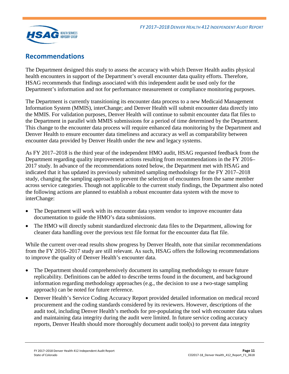

## <span id="page-12-0"></span>**Recommendations**

The Department designed this study to assess the accuracy with which Denver Health audits physical health encounters in support of the Department's overall encounter data quality efforts. Therefore, HSAG recommends that findings associated with this independent audit be used only for the Department's information and not for performance measurement or compliance monitoring purposes.

The Department is currently transitioning its encounter data process to a new Medicaid Management Information System (MMIS), interChange; and Denver Health will submit encounter data directly into the MMIS. For validation purposes, Denver Health will continue to submit encounter data flat files to the Department in parallel with MMIS submissions for a period of time determined by the Department. This change to the encounter data process will require enhanced data monitoring by the Department and Denver Health to ensure encounter data timeliness and accuracy as well as comparability between encounter data provided by Denver Health under the new and legacy systems.

As FY 2017–2018 is the third year of the independent HMO audit, HSAG requested feedback from the Department regarding quality improvement actions resulting from recommendations in the FY 2016– 2017 study. In advance of the recommendations noted below, the Department met with HSAG and indicated that it has updated its previously submitted sampling methodology for the FY 2017–2018 study, changing the sampling approach to prevent the selection of encounters from the same member across service categories. Though not applicable to the current study findings, the Department also noted the following actions are planned to establish a robust encounter data system with the move to interChange:

- The Department will work with its encounter data system vendor to improve encounter data documentation to guide the HMO's data submissions.
- The HMO will directly submit standardized electronic data files to the Department, allowing for cleaner data handling over the previous text file format for the encounter data flat file.

While the current over-read results show progress by Denver Health, note that similar recommendations from the FY 2016–2017 study are still relevant. As such, HSAG offers the following recommendations to improve the quality of Denver Health's encounter data.

- The Department should comprehensively document its sampling methodology to ensure future replicability. Definitions can be added to describe terms found in the document, and background information regarding methodology approaches (e.g., the decision to use a two-stage sampling approach) can be noted for future reference.
- Denver Health's Service Coding Accuracy Report provided detailed information on medical record procurement and the coding standards considered by its reviewers. However, descriptions of the audit tool, including Denver Health's methods for pre-populating the tool with encounter data values and maintaining data integrity during the audit were limited. In future service coding accuracy reports, Denver Health should more thoroughly document audit tool(s) to prevent data integrity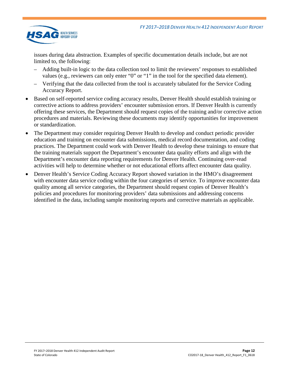

issues during data abstraction. Examples of specific documentation details include, but are not limited to, the following:

- Adding built-in logic to the data collection tool to limit the reviewers' responses to established values (e.g., reviewers can only enter "0" or "1" in the tool for the specified data element).
- Verifying that the data collected from the tool is accurately tabulated for the Service Coding Accuracy Report.
- Based on self-reported service coding accuracy results, Denver Health should establish training or corrective actions to address providers' encounter submission errors. If Denver Health is currently offering these services, the Department should request copies of the training and/or corrective action procedures and materials. Reviewing these documents may identify opportunities for improvement or standardization.
- The Department may consider requiring Denver Health to develop and conduct periodic provider education and training on encounter data submissions, medical record documentation, and coding practices. The Department could work with Denver Health to develop these trainings to ensure that the training materials support the Department's encounter data quality efforts and align with the Department's encounter data reporting requirements for Denver Health. Continuing over-read activities will help to determine whether or not educational efforts affect encounter data quality.
- Denver Health's Service Coding Accuracy Report showed variation in the HMO's disagreement with encounter data service coding within the four categories of service. To improve encounter data quality among all service categories, the Department should request copies of Denver Health's policies and procedures for monitoring providers' data submissions and addressing concerns identified in the data, including sample monitoring reports and corrective materials as applicable.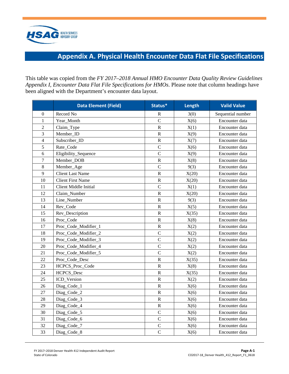

# **Appendix A. Physical Health Encounter Data Flat File Specifications**

<span id="page-14-0"></span>This table was copied from the *FY 2017–2018 Annual HMO Encounter Data Quality Review Guidelines Appendix I, Encounter Data Flat File Specifications for HMOs*. Please note that column headings have been aligned with the Department's encounter data layout.

|                | <b>Data Element (Field)</b>  | Status*        | Length | <b>Valid Value</b> |
|----------------|------------------------------|----------------|--------|--------------------|
| $\overline{0}$ | Record No                    | R              | 3(0)   | Sequential number  |
| $\mathbf{1}$   | Year_Month                   | $\overline{C}$ | X(6)   | Encounter data     |
| $\overline{c}$ | Claim_Type                   | ${\bf R}$      | X(1)   | Encounter data     |
| 3              | Member ID                    | ${\bf R}$      | X(9)   | Encounter data     |
| $\overline{4}$ | Subscriber_ID                | ${\bf R}$      | X(7)   | Encounter data     |
| 5              | Rate_Code                    | $\overline{C}$ | X(6)   | Encounter data     |
| 6              | Eligibility_Sequence         | $\mathcal{C}$  | X(9)   | Encounter data     |
| $\overline{7}$ | Member_DOB                   | ${\bf R}$      | X(8)   | Encounter data     |
| 8              | Member_Age                   | $\mathcal{C}$  | 9(3)   | Encounter data     |
| 9              | <b>Client Last Name</b>      | ${\bf R}$      | X(20)  | Encounter data     |
| 10             | <b>Client First Name</b>     | $\mathbf R$    | X(20)  | Encounter data     |
| 11             | <b>Client Middle Initial</b> | $\overline{C}$ | X(1)   | Encounter data     |
| 12             | Claim Number                 | ${\bf R}$      | X(20)  | Encounter data     |
| 13             | Line Number                  | $\mathbf R$    | 9(3)   | Encounter data     |
| 14             | Rev_Code                     | ${\bf R}$      | X(5)   | Encounter data     |
| 15             | Rev_Description              | ${\bf R}$      | X(35)  | Encounter data     |
| 16             | Proc_Code                    | ${\bf R}$      | X(8)   | Encounter data     |
| 17             | Proc_Code_Modifier_1         | ${\bf R}$      | X(2)   | Encounter data     |
| 18             | Proc_Code_Modifier_2         | $\overline{C}$ | X(2)   | Encounter data     |
| 19             | Proc_Code_Modifier_3         | $\overline{C}$ | X(2)   | Encounter data     |
| 20             | Proc_Code_Modifier_4         | $\mathcal{C}$  | X(2)   | Encounter data     |
| 21             | Proc_Code_Modifier_5         | $\overline{C}$ | X(2)   | Encounter data     |
| 22             | Proc_Code_Desc               | ${\bf R}$      | X(35)  | Encounter data     |
| 23             | HCPCS_Proc_Code              | ${\bf R}$      | X(8)   | Encounter data     |
| 24             | HCPCS_Desc                   | ${\bf R}$      | X(35)  | Encounter data     |
| 25             | ICD Version                  | ${\bf R}$      | X(2)   | Encounter data     |
| 26             | Diag_Code_1                  | $\mathbf R$    | X(6)   | Encounter data     |
| 27             | Diag_Code_2                  | ${\bf R}$      | X(6)   | Encounter data     |
| 28             | Diag_Code_3                  | ${\bf R}$      | X(6)   | Encounter data     |
| 29             | Diag_Code_4                  | ${\bf R}$      | X(6)   | Encounter data     |
| 30             | Diag_Code_5                  | $\overline{C}$ | X(6)   | Encounter data     |
| 31             | Diag_Code_6                  | $\overline{C}$ | X(6)   | Encounter data     |
| 32             | Diag_Code_7                  | $\overline{C}$ | X(6)   | Encounter data     |
| 33             | Diag_Code_8                  | $\mathcal{C}$  | X(6)   | Encounter data     |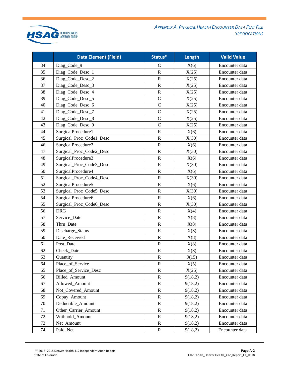

*APPENDIX A. PHYSICAL HEALTH ENCOUNTER DATA FLAT FILE SPECIFICATIONS*

|        | <b>Data Element (Field)</b> | Status*       | Length  | <b>Valid Value</b> |
|--------|-----------------------------|---------------|---------|--------------------|
| 34     | Diag_Code_9                 | $\mathsf{C}$  | X(6)    | Encounter data     |
| 35     | Diag_Code_Desc_1            | ${\bf R}$     | X(25)   | Encounter data     |
| 36     | Diag_Code_Desc_2            | $\mathbf R$   | X(25)   | Encounter data     |
| 37     | Diag_Code_Desc_3            | ${\bf R}$     | X(25)   | Encounter data     |
| 38     | Diag_Code_Desc_4            | $\mathbb{R}$  | X(25)   | Encounter data     |
| 39     | Diag_Code_Desc_5            | $\mathsf C$   | X(25)   | Encounter data     |
| 40     | Diag_Code_Desc_6            | $\mathcal{C}$ | X(25)   | Encounter data     |
| 41     | Diag_Code_Desc_7            | $\mathcal{C}$ | X(25)   | Encounter data     |
| 42     | Diag_Code_Desc_8            | $\mathbf C$   | X(25)   | Encounter data     |
| 43     | Diag_Code_Desc_9            | $\mathcal{C}$ | X(25)   | Encounter data     |
| 44     | SurgicalProcedure1          | $\mathbb{R}$  | X(6)    | Encounter data     |
| 45     | Surgical_Proc_Code1_Desc    | ${\bf R}$     | X(30)   | Encounter data     |
| 46     | SurgicalProcedure2          | ${\bf R}$     | X(6)    | Encounter data     |
| 47     | Surgical_Proc_Code2_Desc    | $\mathbf R$   | X(30)   | Encounter data     |
| 48     | SurgicalProcedure3          | $\mathbf R$   | X(6)    | Encounter data     |
| 49     | Surgical_Proc_Code3_Desc    | ${\bf R}$     | X(30)   | Encounter data     |
| 50     | SurgicalProcedure4          | $\mathbf R$   | X(6)    | Encounter data     |
| 51     | Surgical_Proc_Code4_Desc    | ${\bf R}$     | X(30)   | Encounter data     |
| 52     | SurgicalProcedure5          | ${\bf R}$     | X(6)    | Encounter data     |
| 53     | Surgical_Proc_Code5_Desc    | $\mathbf R$   | X(30)   | Encounter data     |
| 54     | SurgicalProcedure6          | ${\bf R}$     | X(6)    | Encounter data     |
| 55     | Surgical_Proc_Code6_Desc    | ${\bf R}$     | X(30)   | Encounter data     |
| 56     | <b>DRG</b>                  | $\mathbb{R}$  | X(4)    | Encounter data     |
| 57     | Service_Date                | ${\bf R}$     | X(8)    | Encounter data     |
| 58     | Thru_Date                   | ${\bf R}$     | X(8)    | Encounter data     |
| 59     | Discharge_Status            | $\mathbb{R}$  | X(3)    | Encounter data     |
| 60     | Date_Received               | ${\bf R}$     | X(8)    | Encounter data     |
| 61     | Post Date                   | ${\bf R}$     | X(8)    | Encounter data     |
| 62     | Check Date                  | $\mathbb{R}$  | X(8)    | Encounter data     |
| 63     | Quantity                    | $\mathbf R$   | 9(15)   | Encounter data     |
| 64     | Place_of_Service            | ${\bf R}$     | X(5)    | Encounter data     |
| 65     | Place_of_Service_Desc       | R             | X(25)   | Encounter data     |
| 66     | Billed_Amount               | $\mathbf R$   | 9(18,2) | Encounter data     |
| 67     | Allowed Amount              | $\mathbf R$   | 9(18,2) | Encounter data     |
| 68     | Not Covered Amount          | R             | 9(18,2) | Encounter data     |
| 69     | Copay_Amount                | $\mathbf R$   | 9(18,2) | Encounter data     |
| 70     | Deductible_Amount           | $\mathbf R$   | 9(18,2) | Encounter data     |
| 71     | Other_Carrier_Amount        | $\mathbf R$   | 9(18,2) | Encounter data     |
| $72\,$ | Withhold_Amount             | $\mathbf R$   | 9(18,2) | Encounter data     |
| 73     | Net_Amount                  | $\mathbf R$   | 9(18,2) | Encounter data     |
| 74     | Paid_Net                    | $\mathbf R$   | 9(18,2) | Encounter data     |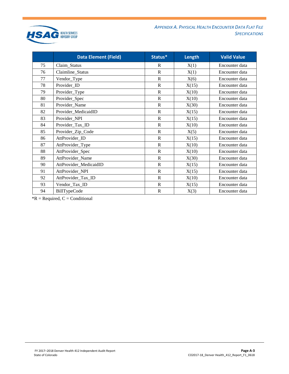

*APPENDIX A. PHYSICAL HEALTH ENCOUNTER DATA FLAT FILE SPECIFICATIONS*

|    | <b>Data Element (Field)</b> | Status*               | Length | <b>Valid Value</b> |
|----|-----------------------------|-----------------------|--------|--------------------|
| 75 | Claim_Status                | R                     | X(1)   | Encounter data     |
| 76 | Claimline_Status            | $\mathbf R$           | X(1)   | Encounter data     |
| 77 | Vendor_Type                 | $\mathbf R$           | X(6)   | Encounter data     |
| 78 | Provider_ID                 | $\mathbf R$           | X(15)  | Encounter data     |
| 79 | Provider_Type               | $\mathbf R$           | X(10)  | Encounter data     |
| 80 | Provider_Spec               | $\overline{\text{R}}$ | X(10)  | Encounter data     |
| 81 | Provider_Name               | $\mathbf R$           | X(30)  | Encounter data     |
| 82 | Provider_MedicaidID         | $\mathbb{R}$          | X(15)  | Encounter data     |
| 83 | Provider_NPI                | $\mathbb{R}$          | X(15)  | Encounter data     |
| 84 | Provider_Tax_ID             | $\overline{\text{R}}$ | X(10)  | Encounter data     |
| 85 | Provider_Zip_Code           | $\mathbf R$           | X(5)   | Encounter data     |
| 86 | AttProvider_ID              | $\mathbf R$           | X(15)  | Encounter data     |
| 87 | AttProvider_Type            | $\mathbb{R}$          | X(10)  | Encounter data     |
| 88 | AttProvider_Spec            | $\mathbb{R}$          | X(10)  | Encounter data     |
| 89 | AttProvider_Name            | $\mathbf R$           | X(30)  | Encounter data     |
| 90 | AttProvider_MedicaidID      | $\mathsf{R}$          | X(15)  | Encounter data     |
| 91 | AttProvider_NPI             | $\mathbf R$           | X(15)  | Encounter data     |
| 92 | AttProvider_Tax_ID          | $\mathbf R$           | X(10)  | Encounter data     |
| 93 | Vendor_Tax_ID               | $\mathbf R$           | X(15)  | Encounter data     |
| 94 | <b>BillTypeCode</b>         | $\mathbb{R}$          | X(3)   | Encounter data     |

 $*R$  = Required,  $C$  = Conditional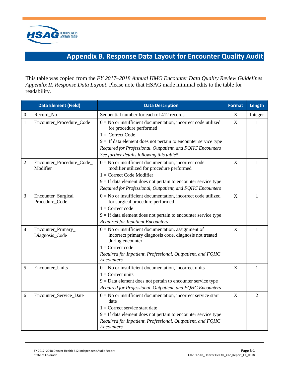

# **Appendix B. Response Data Layout for Encounter Quality Audit**

<span id="page-17-0"></span>This table was copied from the *FY 2017–2018 Annual HMO Encounter Data Quality Review Guidelines Appendix II, Response Data Layout*. Please note that HSAG made minimal edits to the table for readability.

|                | <b>Data Element (Field)</b>           | <b>Data Description</b>                                                                                                                                                                                                                                                                         | <b>Format</b>             | Length         |
|----------------|---------------------------------------|-------------------------------------------------------------------------------------------------------------------------------------------------------------------------------------------------------------------------------------------------------------------------------------------------|---------------------------|----------------|
| $\mathbf{0}$   | Record_No                             | Sequential number for each of 412 records                                                                                                                                                                                                                                                       | $\boldsymbol{\mathrm{X}}$ | Integer        |
| 1              | Encounter_Procedure_Code              | $0 = No$ or insufficient documentation, incorrect code utilized<br>for procedure performed<br>$1 =$ Correct Code<br>$9 =$ If data element does not pertain to encounter service type<br>Required for Professional, Outpatient, and FQHC Encounters<br>See further details following this table* | X                         | 1              |
| $\overline{2}$ | Encounter_Procedure_Code_<br>Modifier | $0 = No$ or insufficient documentation, incorrect code<br>modifier utilized for procedure performed<br>$1 =$ Correct Code Modifier<br>$9 =$ If data element does not pertain to encounter service type<br>Required for Professional, Outpatient, and FQHC Encounters                            | X                         | 1              |
| 3              | Encounter_Surgical_<br>Procedure_Code | $0 = No$ or insufficient documentation, incorrect code utilized<br>for surgical procedure performed<br>$1 =$ Correct code<br>$9 =$ If data element does not pertain to encounter service type<br><b>Required for Inpatient Encounters</b>                                                       | X                         | 1              |
| 4              | Encounter_Primary_<br>Diagnosis_Code  | $0 = No$ or insufficient documentation, assignment of<br>incorrect primary diagnosis code, diagnosis not treated<br>during encounter<br>$1 =$ Correct code<br>Required for Inpatient, Professional, Outpatient, and FQHC<br>Encounters                                                          | X                         | 1              |
| 5              | Encounter_Units                       | $0 = No$ or insufficient documentation, incorrect units<br>$1 =$ Correct units<br>$9 = Data$ element does not pertain to encounter service type<br>Required for Professional, Outpatient, and FQHC Encounters                                                                                   | $\boldsymbol{\mathrm{X}}$ | 1              |
| 6              | Encounter_Service_Date                | $0 = No$ or insufficient documentation, incorrect service start<br>date<br>$1 =$ Correct service start date<br>$9 =$ If data element does not pertain to encounter service type<br>Required for Inpatient, Professional, Outpatient, and FQHC<br><i>Encounters</i>                              | $\mathbf X$               | $\overline{2}$ |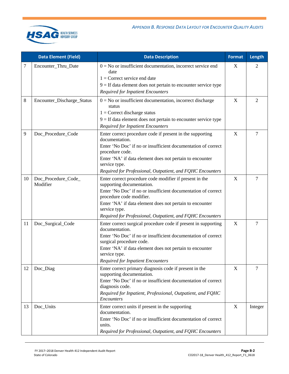|    | <b>Data Element (Field)</b>     | <b>Data Description</b>                                                                                                                                                                                                                                                                                                      | <b>Format</b> | Length         |
|----|---------------------------------|------------------------------------------------------------------------------------------------------------------------------------------------------------------------------------------------------------------------------------------------------------------------------------------------------------------------------|---------------|----------------|
| 7  | Encounter_Thru_Date             | $0 = No$ or insufficient documentation, incorrect service end<br>date<br>$1 =$ Correct service end date<br>$9 =$ If data element does not pertain to encounter service type<br><b>Required for Inpatient Encounters</b>                                                                                                      | X             | 2              |
| 8  | Encounter_Discharge_Status      | $0 = No$ or insufficient documentation, incorrect discharge<br>status<br>$1 =$ Correct discharge status<br>$9 =$ If data element does not pertain to encounter service type<br><b>Required for Inpatient Encounters</b>                                                                                                      | X             | 2              |
| 9  | Doc_Procedure_Code              | Enter correct procedure code if present in the supporting<br>documentation.<br>Enter 'No Doc' if no or insufficient documentation of correct<br>procedure code.<br>Enter 'NA' if data element does not pertain to encounter<br>service type.<br>Required for Professional, Outpatient, and FQHC Encounters                   | X             | 7              |
| 10 | Doc_Procedure_Code_<br>Modifier | Enter correct procedure code modifier if present in the<br>supporting documentation.<br>Enter 'No Doc' if no or insufficient documentation of correct<br>procedure code modifier.<br>Enter 'NA' if data element does not pertain to encounter<br>service type.<br>Required for Professional, Outpatient, and FQHC Encounters | X             | 7              |
| 11 | Doc_Surgical_Code               | Enter correct surgical procedure code if present in supporting<br>documentation.<br>Enter 'No Doc' if no or insufficient documentation of correct<br>surgical procedure code.<br>Enter 'NA' if data element does not pertain to encounter<br>service type.<br><b>Required for Inpatient Encounters</b>                       | X             | $\overline{7}$ |
| 12 | Doc_Diag                        | Enter correct primary diagnosis code if present in the<br>supporting documentation.<br>Enter 'No Doc' if no or insufficient documentation of correct<br>diagnosis code.<br>Required for Inpatient, Professional, Outpatient, and FQHC<br>Encounters                                                                          | X             | $\overline{7}$ |
| 13 | Doc_Units                       | Enter correct units if present in the supporting<br>documentation.<br>Enter 'No Doc' if no or insufficient documentation of correct<br>units.<br>Required for Professional, Outpatient, and FQHC Encounters                                                                                                                  | X             | Integer        |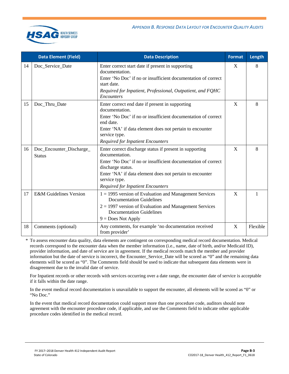

|    | <b>Data Element (Field)</b>               | <b>Data Description</b>                                                                                                                                                                                                                                                                  | <b>Format</b> | Length   |
|----|-------------------------------------------|------------------------------------------------------------------------------------------------------------------------------------------------------------------------------------------------------------------------------------------------------------------------------------------|---------------|----------|
| 14 | Doc_Service_Date                          | Enter correct start date if present in supporting<br>documentation.<br>Enter 'No Doc' if no or insufficient documentation of correct<br>start date.<br>Required for Inpatient, Professional, Outpatient, and FQHC<br>Encounters                                                          | X             | 8        |
| 15 | Doc Thru Date                             | Enter correct end date if present in supporting<br>documentation.<br>Enter 'No Doc' if no or insufficient documentation of correct<br>end date.<br>Enter 'NA' if data element does not pertain to encounter<br>service type.<br><b>Required for Inpatient Encounters</b>                 | X             | 8        |
| 16 | Doc_Encounter_Discharge_<br><b>Status</b> | Enter correct discharge status if present in supporting<br>documentation.<br>Enter 'No Doc' if no or insufficient documentation of correct<br>discharge status.<br>Enter 'NA' if data element does not pertain to encounter<br>service type.<br><b>Required for Inpatient Encounters</b> | X             | 8        |
| 17 | <b>E&amp;M</b> Guidelines Version         | $1 = 1995$ version of Evaluation and Management Services<br><b>Documentation Guidelines</b><br>$2 = 1997$ version of Evaluation and Management Services<br><b>Documentation Guidelines</b><br>$9 = Does Not Apply$                                                                       | X             | 1        |
| 18 | Comments (optional)                       | Any comments, for example 'no documentation received<br>from provider'                                                                                                                                                                                                                   | X             | Flexible |

\* To assess encounter data quality, data elements are contingent on corresponding medical record documentation. Medical records correspond to the encounter data when the member information (i.e., name, date of birth, and/or Medicaid ID), provider information, and date of service are in agreement. If the medical records match the member and provider information but the date of service is incorrect, the Encounter Service Date will be scored as "0" and the remaining data elements will be scored as "0". The Comments field should be used to indicate that subsequent data elements were in disagreement due to the invalid date of service.

For Inpatient records or other records with services occurring over a date range, the encounter date of service is acceptable if it falls within the date range.

In the event medical record documentation is unavailable to support the encounter, all elements will be scored as "0" or "No Doc."

In the event that medical record documentation could support more than one procedure code, auditors should note agreement with the encounter procedure code, if applicable, and use the Comments field to indicate other applicable procedure codes identified in the medical record.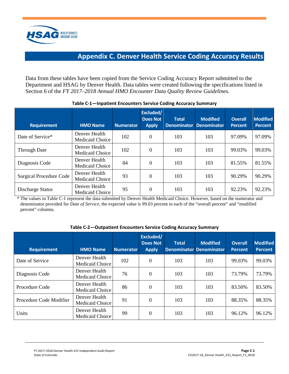

## **Appendix C. Denver Health Service Coding Accuracy Results**

<span id="page-20-0"></span>Data from these tables have been copied from the Service Coding Accuracy Report submitted to the Department and HSAG by Denver Health. Data tables were created following the specifications listed in Section 6 of the *FY 2017–2018 Annual HMO Encounter Data Quality Review Guidelines*.

| <b>Requirement</b>             | <b>HMO Name</b>                  | <b>Numerator</b> | Excluded/<br><b>Does Not</b><br><b>Apply</b> | <b>Total</b><br><b>Denominator</b> | <b>Modified</b><br><b>Denominator</b> | <b>Overall</b><br><b>Percent</b> | <b>Modified</b><br><b>Percent</b> |
|--------------------------------|----------------------------------|------------------|----------------------------------------------|------------------------------------|---------------------------------------|----------------------------------|-----------------------------------|
| Date of Service*               | Denver Health<br>Medicaid Choice | 102              | $\theta$                                     | 103                                | 103                                   | 97.09%                           | 97.09%                            |
| <b>Through Date</b>            | Denver Health<br>Medicaid Choice | 102              | 0                                            | 103                                | 103                                   | 99.03%                           | 99.03%                            |
| Diagnosis Code                 | Denver Health<br>Medicaid Choice | 84               | $\theta$                                     | 103                                | 103                                   | 81.55%                           | 81.55%                            |
| <b>Surgical Procedure Code</b> | Denver Health<br>Medicaid Choice | 93               | $\theta$                                     | 103                                | 103                                   | 90.29%                           | 90.29%                            |
| Discharge Status               | Denver Health<br>Medicaid Choice | 95               | 0                                            | 103                                | 103                                   | 92.23%                           | 92.23%                            |

#### **Table C-1—Inpatient Encounters Service Coding Accuracy Summary**

\* The values in Table C-1 represent the data submitted by Denver Health Medicaid Choice. However, based on the numerator and denominator provided for *Date of Service,* the expected value is 99.03 percent in each of the "overall percent" and "modified percent" columns.

#### **Table C-2—Outpatient Encounters Service Coding Accuracy Summary**

| <b>Requirement</b>      | <b>HMO Name</b>                  | <b>Numerator</b> | Excluded/<br><b>Does Not</b><br><b>Apply</b> | <b>Total</b> | <b>Modified</b><br><b>Denominator Denominator</b> | <b>Overall</b><br><b>Percent</b> | <b>Modified</b><br><b>Percent</b> |
|-------------------------|----------------------------------|------------------|----------------------------------------------|--------------|---------------------------------------------------|----------------------------------|-----------------------------------|
| Date of Service         | Denver Health<br>Medicaid Choice | 102              | $\Omega$                                     | 103          | 103                                               | 99.03%                           | 99.03%                            |
| Diagnosis Code          | Denver Health<br>Medicaid Choice | 76               | $\Omega$                                     | 103          | 103                                               | 73.79%                           | 73.79%                            |
| Procedure Code          | Denver Health<br>Medicaid Choice | 86               | $\Omega$                                     | 103          | 103                                               | 83.50%                           | 83.50%                            |
| Procedure Code Modifier | Denver Health<br>Medicaid Choice | 91               | $\Omega$                                     | 103          | 103                                               | 88.35%                           | 88.35%                            |
| Units                   | Denver Health<br>Medicaid Choice | 99               | $\Omega$                                     | 103          | 103                                               | 96.12%                           | 96.12%                            |